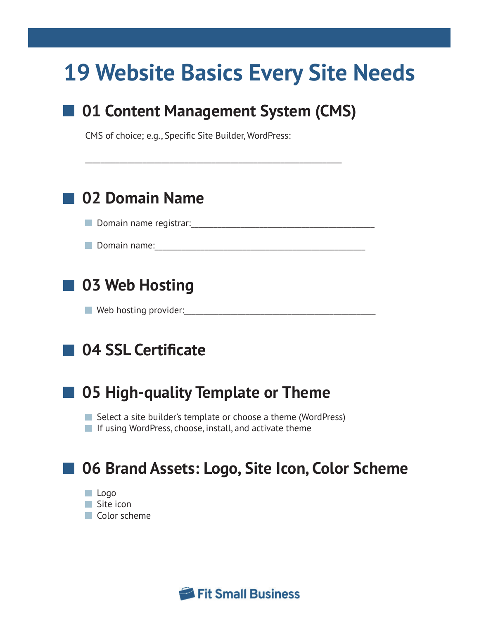# **19 Website Basics Every Site Needs**

# ■ 01 Content Management System (CMS)

\_\_\_\_\_\_\_\_\_\_\_\_\_\_\_\_\_\_\_\_\_\_\_\_\_\_\_\_\_\_\_\_\_\_\_\_\_\_\_\_\_\_\_\_\_\_\_\_\_\_\_\_\_\_\_\_\_\_\_\_\_\_\_\_\_\_\_

CMS of choice; e.g., Specific Site Builder, WordPress:

# **02 Domain Name**

Domain name registrar:\_\_\_\_\_\_\_\_\_\_\_\_\_\_\_\_\_\_\_\_\_\_\_\_\_\_\_\_\_\_\_\_\_\_\_\_\_\_\_\_\_\_\_\_\_\_\_\_

Domain name:\_\_\_\_\_\_\_\_\_\_\_\_\_\_\_\_\_\_\_\_\_\_\_\_\_\_\_\_\_\_\_\_\_\_\_\_\_\_\_\_\_\_\_\_\_\_\_\_\_\_\_\_\_\_\_

# **03 Web Hosting**

 $\blacksquare$  Web hosting provider:

# **04 SSL Certificate**



### **05 High-quality Template or Theme**

Select a site builder's template or choose a theme (WordPress)  $\blacksquare$  If using WordPress, choose, install, and activate theme

# **06 Brand Assets: Logo, Site Icon, Color Scheme**

 Logo **Site icon Color scheme** 

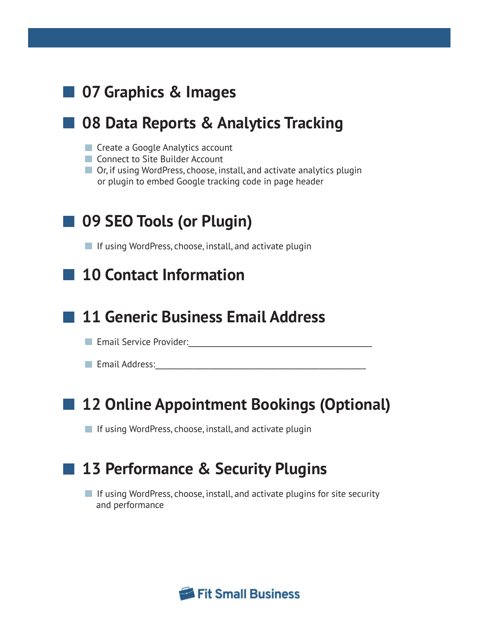# **07 Graphics & Images**

#### **08 Data Reports & Analytics Tracking**

- **Create a Google Analytics account**
- Connect to Site Builder Account
- Or, if using WordPress, choose, install, and activate analytics plugin or plugin to embed Google tracking code in page header

### **09 SEO Tools (or Plugin)**

 $\blacksquare$  If using WordPress, choose, install, and activate plugin

#### **10 Contact Information**

#### **11 Generic Business Email Address**

Email Service Provider:\_\_\_\_\_\_\_\_\_\_\_\_\_\_\_\_\_\_\_\_\_\_\_\_\_\_\_\_\_\_\_\_\_\_\_\_\_\_\_\_\_\_\_\_\_\_\_\_

**Email Address:** 2008 and 2008 and 2008 and 2018 and 2018 and 2018 and 2018 and 2018 and 2018 and 2018 and 2018

### **12 Online Appointment Bookings (Optional)**

 $\blacksquare$  If using WordPress, choose, install, and activate plugin

#### **13 Performance & Security Plugins**

 $\blacksquare$  If using WordPress, choose, install, and activate plugins for site security and performance